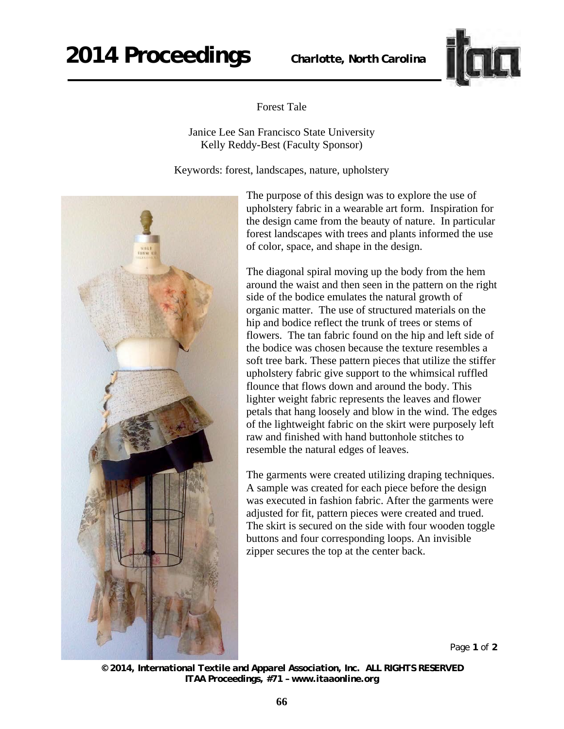## **2014 Proceedings** *Charlotte, North Carolina*



Forest Tale

Janice Lee San Francisco State University Kelly Reddy-Best (Faculty Sponsor)

Keywords: forest, landscapes, nature, upholstery



The purpose of this design was to explore the use of upholstery fabric in a wearable art form. Inspiration for the design came from the beauty of nature. In particular forest landscapes with trees and plants informed the use of color, space, and shape in the design.

The diagonal spiral moving up the body from the hem around the waist and then seen in the pattern on the right side of the bodice emulates the natural growth of organic matter. The use of structured materials on the hip and bodice reflect the trunk of trees or stems of flowers. The tan fabric found on the hip and left side of the bodice was chosen because the texture resembles a soft tree bark. These pattern pieces that utilize the stiffer upholstery fabric give support to the whimsical ruffled flounce that flows down and around the body. This lighter weight fabric represents the leaves and flower petals that hang loosely and blow in the wind. The edges of the lightweight fabric on the skirt were purposely left raw and finished with hand buttonhole stitches to resemble the natural edges of leaves.

The garments were created utilizing draping techniques. A sample was created for each piece before the design was executed in fashion fabric. After the garments were adjusted for fit, pattern pieces were created and trued. The skirt is secured on the side with four wooden toggle buttons and four corresponding loops. An invisible zipper secures the top at the center back.

Page **1** of **2** 

*<sup>© 2014,</sup> International Textile and Apparel Association, Inc. ALL RIGHTS RESERVED ITAA Proceedings, #71 – www.itaaonline.org*